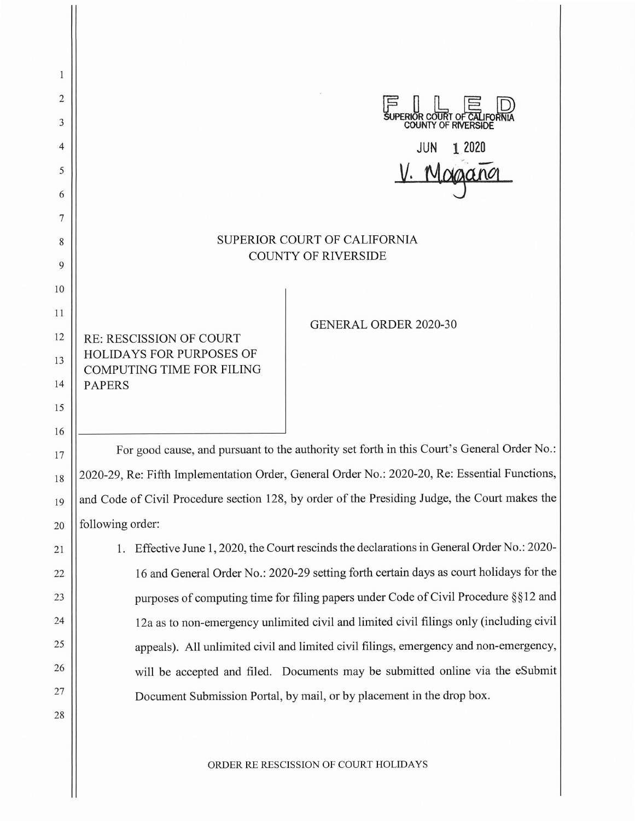$\mathbf{1}$ 2 COURT 3 COLINTY OF RIVER 4 **JUN 1 2020**  V. Magaña 5 6 7 SUPERIOR COURT OF CALIFORNIA 8 COUNTY OF RIVERSIDE 9 10 11 GENERAL ORDER 2020-30 12 RE: RESCISSION OF COURT HOLIDAYS FOR PURPOSES OF 13 COMPUTING TIME FOR FILING 14 PAPERS 15 16 For good cause, and pursuant to the authority set forth in this Court's General Order No.: 17 2020-29, Re: Fifth Implementation Order, General Order No.: 2020-20, Re: Essential Functions, 18 and Code of Civil Procedure section 128, by order of the Presiding Judge, the Court makes the 19 following order: 20 1. Effective June **1,** 2020, the Court rescinds the declarations in General Order No.: 2020- 21 16 and General Order No.: 2020-29 setting forth certain days as court holidays for the 22 purposes of computing time for filing papers under Code of Civil Procedure § § 12 and 23 12a as to non-emergency unlimited civil and limited civil filings only (including civil 24 25

appeals). All unlimited civil and limited civil filings, emergency and non-emergency, will be accepted and filed. Documents may be submitted online via the eSubmit Document Submission Portal, by mail, or by placement in the drop box.

26

27

28

ORDER RE RESCISSION OF COURT HOLIDAYS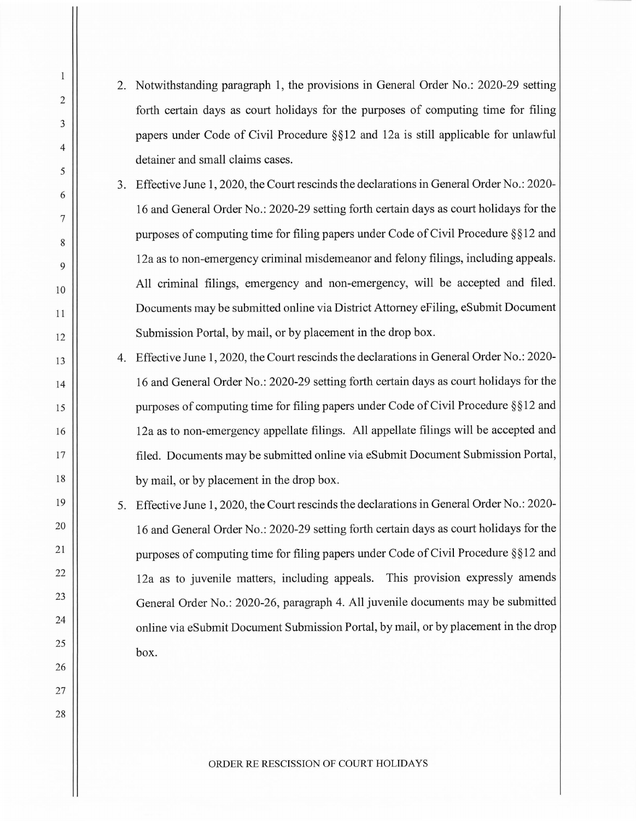2. Notwithstanding paragraph 1, the provisions in General Order No.: 2020-29 setting forth certain days as court holidays for the purposes of computing time for filing papers under Code of Civil Procedure § § 12 and 12a is still applicable for unlawful detainer and small claims cases.

- 3. Effective June 1, 2020, the Court rescinds the declarations in General Order No.: 2020- 16 and General Order No.: 2020-29 setting forth certain days as court holidays for the purposes of computing time for filing papers under Code of Civil Procedure § § 12 and 12a as to non-emergency criminal misdemeanor and felony filings, including appeals. All criminal filings, emergency and non-emergency, will be accepted and filed. Documents may be submitted online via District Attorney eFiling, eSubmit Document Submission Portal, by mail, or by placement in the drop box.
- 4. Effective June 1, 2020, the Court rescinds the declarations in General Order No.: 2020- 16 and General Order No.: 2020-29 setting forth certain days as court holidays for the purposes of computing time for filing papers under Code of Civil Procedure§§ 12 and 12a as to non-emergency appellate filings. All appellate filings will be accepted and filed. Documents may be submitted online via eSubmit Document Submission Portal, by mail, or by placement in the drop box.
- 5. Effective June 1, 2020, the Court rescinds the declarations in General Order No.: 2020- 16 and General Order No.: 2020-29 setting forth certain days as court holidays for the purposes of computing time for filing papers under Code of Civil Procedure § § 12 and 12a as to juvenile matters, including appeals. This provision expressly amends General Order No.: 2020-26, paragraph 4. All juvenile documents may be submitted online via eSubmit Document Submission Portal, by mail, or by placement in the drop box.

ORDER RE RESCISSION OF COURT HOLIDAYS